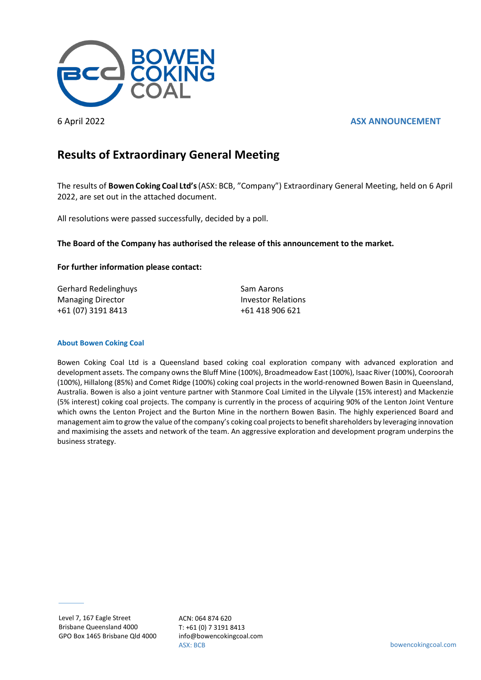



# **Results of Extraordinary General Meeting**

The results of **Bowen Coking Coal Ltd's**(ASX: BCB, "Company") Extraordinary General Meeting, held on 6 April 2022, are set out in the attached document.

All resolutions were passed successfully, decided by a poll.

## **The Board of the Company has authorised the release of this announcement to the market.**

### **For further information please contact:**

Gerhard Redelinghuys **Sam Aarons** Sam Aarons Managing Director **Investor Relations** +61 (07) 3191 8413 +61 418 906 621

#### **About Bowen Coking Coal**

Bowen Coking Coal Ltd is a Queensland based coking coal exploration company with advanced exploration and development assets. The company owns the Bluff Mine (100%), Broadmeadow East (100%), Isaac River (100%), Cooroorah (100%), Hillalong (85%) and Comet Ridge (100%) coking coal projects in the world-renowned Bowen Basin in Queensland, Australia. Bowen is also a joint venture partner with Stanmore Coal Limited in the Lilyvale (15% interest) and Mackenzie (5% interest) coking coal projects. The company is currently in the process of acquiring 90% of the Lenton Joint Venture which owns the Lenton Project and the Burton Mine in the northern Bowen Basin. The highly experienced Board and management aim to grow the value of the company's coking coal projects to benefit shareholders by leveraging innovation and maximising the assets and network of the team. An aggressive exploration and development program underpins the business strategy.

ACN: 064 874 620 T: +61 (0) 7 3191 8413 info@bowencokingcoal.com ASX: BCB bowencokingcoal.com